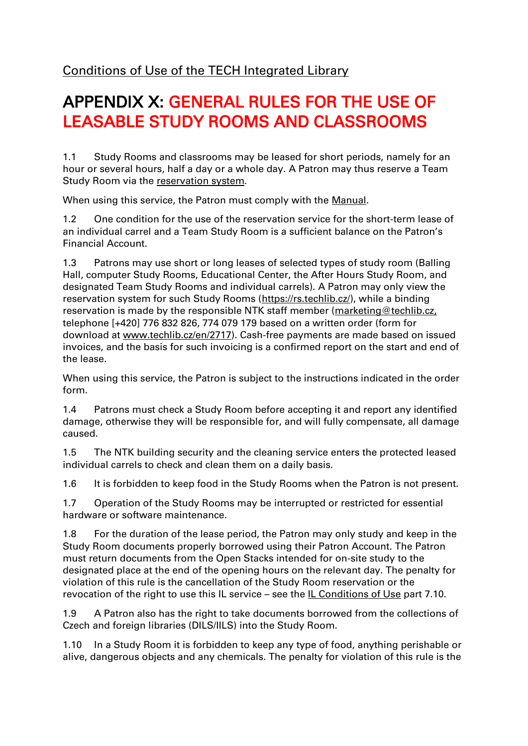# APPENDIX X: GENERAL RULES FOR THE USE OF LEASABLE STUDY ROOMS AND CLASSROOMS

1.1 Study Rooms and classrooms may be leased for short periods, namely for an hour or several hours, half a day or a whole day. A Patron may thus reserve a Team Study Room via the [reservation system.](https://rs.techlib.cz/)

When using this service, the Patron must comply with the [Manual.](file://///space.ntkcz.cz/en/2869-reservation-system)

1.2 One condition for the use of the reservation service for the short-term lease of an individual carrel and a Team Study Room is a sufficient balance on the Patron's Financial Account.

1.3 Patrons may use short or long leases of selected types of study room (Balling Hall, computer Study Rooms, Educational Center, the After Hours Study Room, and designated Team Study Rooms and individual carrels). A Patron may only view the reservation system for such Study Rooms [\(https://rs.techlib.cz/\)](https://rs.techlib.cz/), while a binding reservation is made by the responsible NTK staff member (marketing@techlib.cz, telephone [+420] 776 832 826, 774 079 179 based on a written order (form for download at www.techlib.cz/en/2717). Cash-free payments are made based on issued invoices, and the basis for such invoicing is a confirmed report on the start and end of the lease.

When using this service, the Patron is subject to the instructions indicated in the order form.

1.4 Patrons must check a Study Room before accepting it and report any identified damage, otherwise they will be responsible for, and will fully compensate, all damage caused.

1.5 The NTK building security and the cleaning service enters the protected leased individual carrels to check and clean them on a daily basis.

1.6 It is forbidden to keep food in the Study Rooms when the Patron is not present.

1.7 Operation of the Study Rooms may be interrupted or restricted for essential hardware or software maintenance.

1.8 For the duration of the lease period, the Patron may only study and keep in the Study Room documents properly borrowed using their Patron Account. The Patron must return documents from the Open Stacks intended for on-site study to the designated place at the end of the opening hours on the relevant day. The penalty for violation of this rule is the cancellation of the Study Room reservation or the revocation of the right to use this IL service – see the [IL Conditions of Use](file://///space.ntkcz.cz/default/files/download/id/4617/) part 7.10.

1.9 A Patron also has the right to take documents borrowed from the collections of Czech and foreign libraries (DILS/IILS) into the Study Room.

1.10 In a Study Room it is forbidden to keep any type of food, anything perishable or alive, dangerous objects and any chemicals. The penalty for violation of this rule is the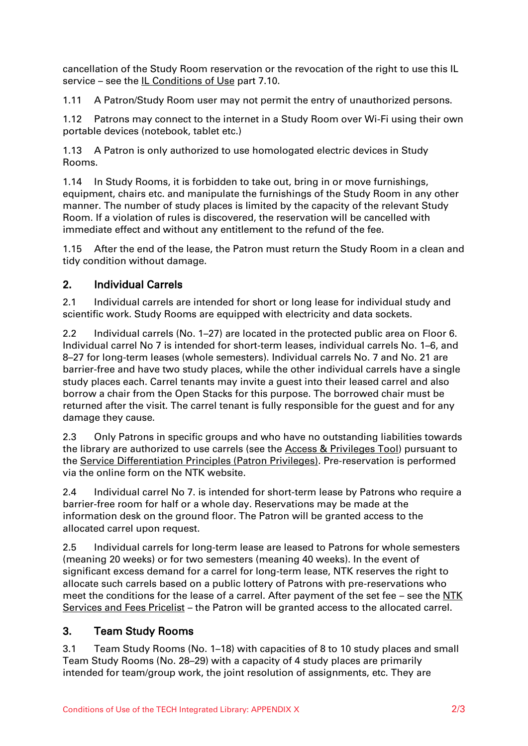cancellation of the Study Room reservation or the revocation of the right to use this IL service – see the  $IL$  Conditions of Use part 7.10.

1.11 A Patron/Study Room user may not permit the entry of unauthorized persons.

1.12 Patrons may connect to the internet in a Study Room over Wi-Fi using their own portable devices (notebook, tablet etc.)

1.13 A Patron is only authorized to use homologated electric devices in Study Rooms.

1.14 In Study Rooms, it is forbidden to take out, bring in or move furnishings, equipment, chairs etc. and manipulate the furnishings of the Study Room in any other manner. The number of study places is limited by the capacity of the relevant Study Room. If a violation of rules is discovered, the reservation will be cancelled with immediate effect and without any entitlement to the refund of the fee.

1.15 After the end of the lease, the Patron must return the Study Room in a clean and tidy condition without damage.

## 2. Individual Carrels

2.1 Individual carrels are intended for short or long lease for individual study and scientific work. Study Rooms are equipped with electricity and data sockets.

2.2 Individual carrels (No. 1–27) are located in the protected public area on Floor 6. Individual carrel No 7 is intended for short-term leases, individual carrels No. 1–6, and 8–27 for long-term leases (whole semesters). Individual carrels No. 7 and No. 21 are barrier-free and have two study places, while the other individual carrels have a single study places each. Carrel tenants may invite a guest into their leased carrel and also borrow a chair from the Open Stacks for this purpose. The borrowed chair must be returned after the visit. The carrel tenant is fully responsible for the guest and for any damage they cause.

2.3 Only Patrons in specific groups and who have no outstanding liabilities towards the library are authorized to use carrels (see the [Access](file://///space.ntkcz.cz/en/2813-grouping-tool) & Privileges Tool) pursuant to the [Service Differentiation Principles \(Patron Privileges\).](file://///space.ntkcz.cz/default/files/download/id/86908/) Pre-reservation is performed via the online form on the NTK website.

2.4 Individual carrel No 7. is intended for short-term lease by Patrons who require a barrier-free room for half or a whole day. Reservations may be made at the information desk on the ground floor. The Patron will be granted access to the allocated carrel upon request.

2.5 Individual carrels for long-term lease are leased to Patrons for whole semesters (meaning 20 weeks) or for two semesters (meaning 40 weeks). In the event of significant excess demand for a carrel for long-term lease, NTK reserves the right to allocate such carrels based on a public lottery of Patrons with pre-reservations who meet the conditions for the lease of a carrel. After payment of the set fee – see the NTK [Services and Fees Pricelist](file://///space.ntkcz.cz/default/files/download/id/4618/) – the Patron will be granted access to the allocated carrel.

# 3. Team Study Rooms

3.1 Team Study Rooms (No. 1–18) with capacities of 8 to 10 study places and small Team Study Rooms (No. 28–29) with a capacity of 4 study places are primarily intended for team/group work, the joint resolution of assignments, etc. They are